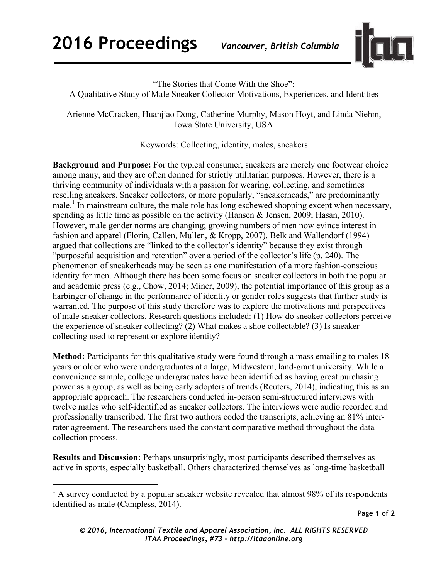

"The Stories that Come With the Shoe":

A Qualitative Study of Male Sneaker Collector Motivations, Experiences, and Identities

Arienne McCracken, Huanjiao Dong, Catherine Murphy, Mason Hoyt, and Linda Niehm, Iowa State University, USA

Keywords: Collecting, identity, males, sneakers

**Background and Purpose:** For the typical consumer, sneakers are merely one footwear choice among many, and they are often donned for strictly utilitarian purposes. However, there is a thriving community of individuals with a passion for wearing, collecting, and sometimes reselling sneakers. Sneaker collectors, or more popularly, "sneakerheads," are predominantly male.<sup>1</sup> In mainstream culture, the male role has long eschewed shopping except when necessary, spending as little time as possible on the activity (Hansen & Jensen, 2009; Hasan, 2010). However, male gender norms are changing; growing numbers of men now evince interest in fashion and apparel (Florin, Callen, Mullen, & Kropp, 2007). Belk and Wallendorf (1994) argued that collections are "linked to the collector's identity" because they exist through "purposeful acquisition and retention" over a period of the collector's life (p. 240). The phenomenon of sneakerheads may be seen as one manifestation of a more fashion-conscious identity for men. Although there has been some focus on sneaker collectors in both the popular and academic press (e.g., Chow, 2014; Miner, 2009), the potential importance of this group as a harbinger of change in the performance of identity or gender roles suggests that further study is warranted. The purpose of this study therefore was to explore the motivations and perspectives of male sneaker collectors. Research questions included: (1) How do sneaker collectors perceive the experience of sneaker collecting? (2) What makes a shoe collectable? (3) Is sneaker collecting used to represent or explore identity?

**Method:** Participants for this qualitative study were found through a mass emailing to males 18 years or older who were undergraduates at a large, Midwestern, land-grant university. While a convenience sample, college undergraduates have been identified as having great purchasing power as a group, as well as being early adopters of trends (Reuters, 2014), indicating this as an appropriate approach. The researchers conducted in-person semi-structured interviews with twelve males who self-identified as sneaker collectors. The interviews were audio recorded and professionally transcribed. The first two authors coded the transcripts, achieving an 81% interrater agreement. The researchers used the constant comparative method throughout the data collection process.

**Results and Discussion:** Perhaps unsurprisingly, most participants described themselves as active in sports, especially basketball. Others characterized themselves as long-time basketball

 $<sup>1</sup>$  A survey conducted by a popular sneaker website revealed that almost 98% of its respondents</sup> identified as male (Campless, 2014).